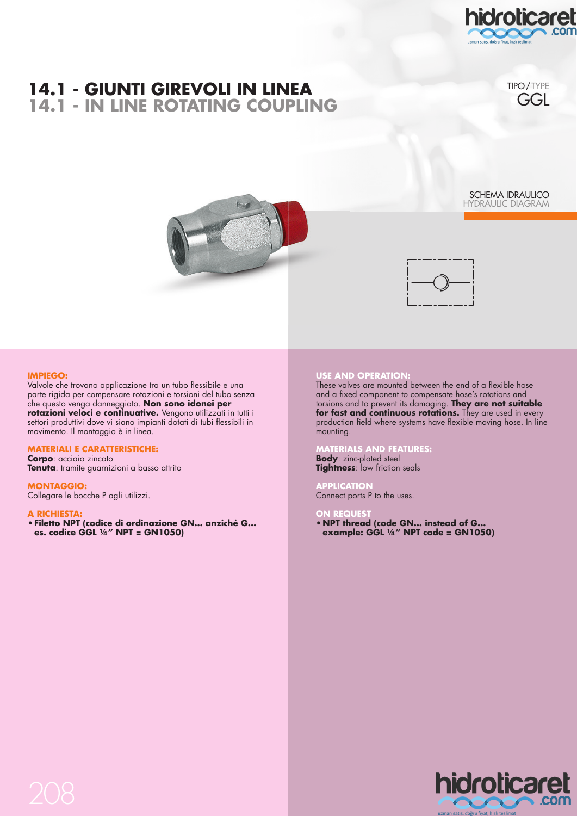



hidroticaret

TIPO/TYPE **GGL** 

SCHEMA IDRAULICO HYDRAULIC DIAGRAM



### **IMPIEGO:**

Valvole che trovano applicazione tra un tubo flessibile e una parte rigida per compensare rotazioni e torsioni del tubo senza che questo venga danneggiato. **Non sono idonei per**  rotazioni veloci e continuative. Vengono utilizzati in tutti i settori produttivi dove vi siano impianti dotati di tubi flessibili in movimento. Il montaggio è in linea.

## **MATERIALI E CARATTERISTICHE:**

**Corpo**: acciaio zincato **Tenuta**: tramite guarnizioni a basso attrito

### **MONTAGGIO:**

Collegare le bocche P agli utilizzi.

### **A RICHIESTA:**

**• Filetto NPT (codice di ordinazione GN… anziché G... es. codice GGL ¼" NPT = GN1050)**

# **USE AND OPERATION:**

These valves are mounted between the end of a flexible hose and a fixed component to compensate hose's rotations and torsions and to prevent its damaging. **They are not suitable for fast and continuous rotations.** They are used in every production field where systems have flexible moving hose. In line mounting.

#### **MATERIALS AND FEATURES:**

**Body**: zinc-plated steel **Tightness**: low friction seals

### **APPLICATION**

Connect ports P to the uses.

### **REQUES**

**• NPT thread (code GN… instead of G... example: GGL ¼" NPT code = GN1050)**